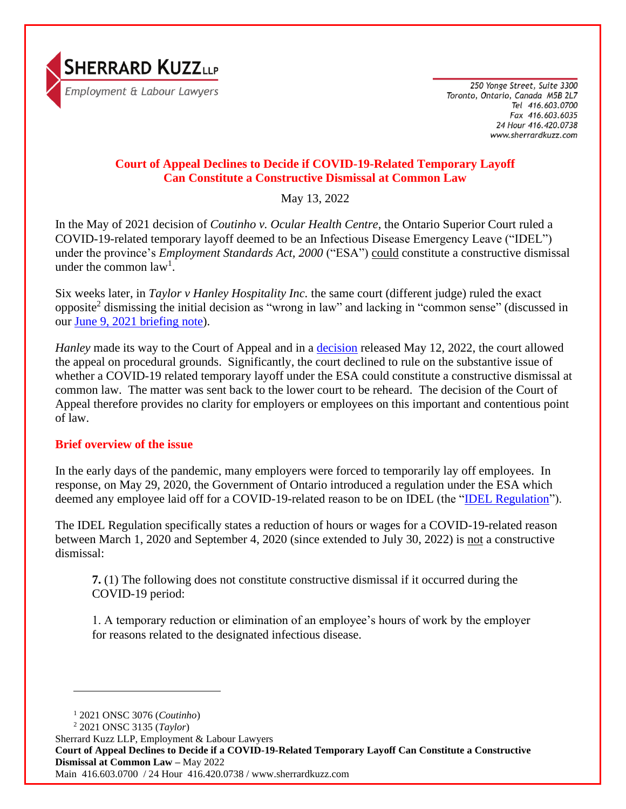

250 Yonge Street, Suite 3300 Toronto, Ontario, Canada M5B 2L7 Tel 416.603.0700 Fax 416.603.6035 24 Hour 416.420.0738 www.sherrardkuzz.com

# **Court of Appeal Declines to Decide if COVID-19-Related Temporary Layoff Can Constitute a Constructive Dismissal at Common Law**

May 13, 2022

In the May of 2021 decision of *Coutinho v. Ocular Health Centre*, the Ontario Superior Court ruled a COVID-19-related temporary layoff deemed to be an Infectious Disease Emergency Leave ("IDEL") under the province's *Employment Standards Act, 2000* ("ESA") could constitute a constructive dismissal under the common  $law<sup>1</sup>$ .

Six weeks later, in *Taylor v Hanley Hospitality Inc.* the same court (different judge) ruled the exact opposite<sup>2</sup> dismissing the initial decision as "wrong in law" and lacking in "common sense" (discussed in our [June 9, 2021 briefing note\)](https://www.sherrardkuzz.com/wp-content/uploads/2021/06/Briefing-Note-Superior-Court-Does-a-180-Finds-COVID-19-Related-Temporary-Layoff-NOT-a-Constructive-Dismissal-June-2021-Fina.pdf).

*Hanley* made its way to the Court of Appeal and in a [decision](https://www.ontariocourts.ca/decisions/2022/2022ONCA0376.htm) released May 12, 2022, the court allowed the appeal on procedural grounds. Significantly, the court declined to rule on the substantive issue of whether a COVID-19 related temporary layoff under the ESA could constitute a constructive dismissal at common law. The matter was sent back to the lower court to be reheard. The decision of the Court of Appeal therefore provides no clarity for employers or employees on this important and contentious point of law.

## **Brief overview of the issue**

In the early days of the pandemic, many employers were forced to temporarily lay off employees. In response, on May 29, 2020, the Government of Ontario introduced a regulation under the ESA which deemed any employee laid off for a COVID-19-related reason to be on IDEL (the ["IDEL Regulation"](https://www.ontario.ca/laws/regulation/200228)).

The IDEL Regulation specifically states a reduction of hours or wages for a COVID-19-related reason between March 1, 2020 and September 4, 2020 (since extended to July 30, 2022) is not a constructive dismissal:

**7.** (1) The following does not constitute constructive dismissal if it occurred during the COVID-19 period:

1. A temporary reduction or elimination of an employee's hours of work by the employer for reasons related to the designated infectious disease.

<sup>1</sup> 2021 ONSC 3076 (*Coutinho*)

<sup>2</sup> 2021 ONSC 3135 (*Taylor*)

Sherrard Kuzz LLP, Employment & Labour Lawyers

**Court of Appeal Declines to Decide if a COVID-19-Related Temporary Layoff Can Constitute a Constructive Dismissal at Common Law –** May 2022

Main 416.603.0700 / 24 Hour 416.420.0738 / www.sherrardkuzz.com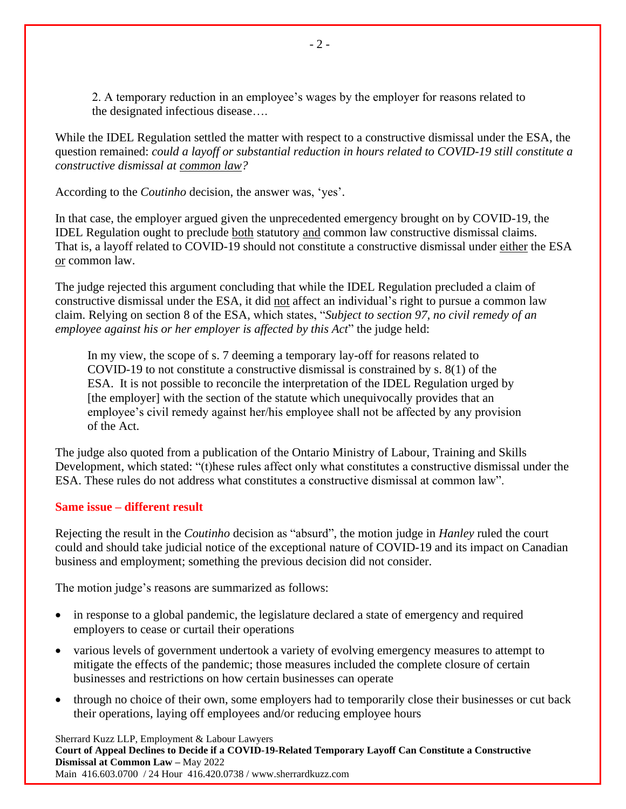2. A temporary reduction in an employee's wages by the employer for reasons related to the designated infectious disease….

While the IDEL Regulation settled the matter with respect to a constructive dismissal under the ESA, the question remained: *could a layoff or substantial reduction in hours related to COVID-19 still constitute a constructive dismissal at common law?*

According to the *Coutinho* decision, the answer was, 'yes'.

In that case, the employer argued given the unprecedented emergency brought on by COVID-19, the IDEL Regulation ought to preclude both statutory and common law constructive dismissal claims. That is, a layoff related to COVID-19 should not constitute a constructive dismissal under either the ESA or common law.

The judge rejected this argument concluding that while the IDEL Regulation precluded a claim of constructive dismissal under the ESA, it did not affect an individual's right to pursue a common law claim. Relying on section 8 of the ESA, which states, "*Subject to section 97, no civil remedy of an employee against his or her employer is affected by this Act*" the judge held:

In my view, the scope of s. 7 deeming a temporary lay-off for reasons related to COVID-19 to not constitute a constructive dismissal is constrained by s. 8(1) of the ESA. It is not possible to reconcile the interpretation of the IDEL Regulation urged by [the employer] with the section of the statute which unequivocally provides that an employee's civil remedy against her/his employee shall not be affected by any provision of the Act.

The judge also quoted from a publication of the Ontario Ministry of Labour, Training and Skills Development, which stated: "(t)hese rules affect only what constitutes a constructive dismissal under the ESA. These rules do not address what constitutes a constructive dismissal at common law".

### **Same issue – different result**

Rejecting the result in the *Coutinho* decision as "absurd", the motion judge in *Hanley* ruled the court could and should take judicial notice of the exceptional nature of COVID-19 and its impact on Canadian business and employment; something the previous decision did not consider.

The motion judge's reasons are summarized as follows:

- in response to a global pandemic, the legislature declared a state of emergency and required employers to cease or curtail their operations
- various levels of government undertook a variety of evolving emergency measures to attempt to mitigate the effects of the pandemic; those measures included the complete closure of certain businesses and restrictions on how certain businesses can operate
- through no choice of their own, some employers had to temporarily close their businesses or cut back their operations, laying off employees and/or reducing employee hours

Sherrard Kuzz LLP, Employment & Labour Lawyers **Court of Appeal Declines to Decide if a COVID-19-Related Temporary Layoff Can Constitute a Constructive Dismissal at Common Law –** May 2022 Main 416.603.0700 / 24 Hour 416.420.0738 / www.sherrardkuzz.com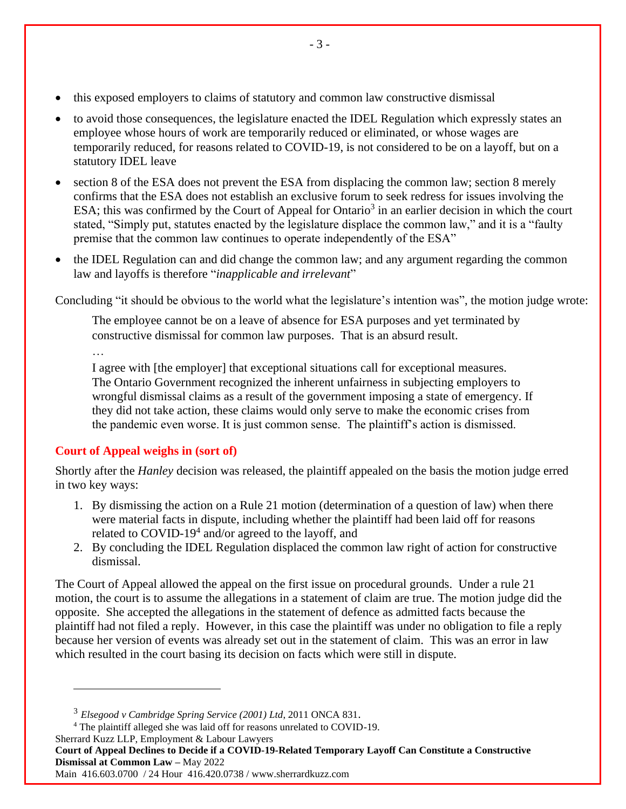- this exposed employers to claims of statutory and common law constructive dismissal
- to avoid those consequences, the legislature enacted the IDEL Regulation which expressly states an employee whose hours of work are temporarily reduced or eliminated, or whose wages are temporarily reduced, for reasons related to COVID-19, is not considered to be on a layoff, but on a statutory IDEL leave
- section 8 of the ESA does not prevent the ESA from displacing the common law; section 8 merely confirms that the ESA does not establish an exclusive forum to seek redress for issues involving the ESA; this was confirmed by the Court of Appeal for Ontario<sup>3</sup> in an earlier decision in which the court stated, "Simply put, statutes enacted by the legislature displace the common law," and it is a "faulty premise that the common law continues to operate independently of the ESA"
- the IDEL Regulation can and did change the common law; and any argument regarding the common law and layoffs is therefore "*inapplicable and irrelevant*"

Concluding "it should be obvious to the world what the legislature's intention was", the motion judge wrote:

The employee cannot be on a leave of absence for ESA purposes and yet terminated by constructive dismissal for common law purposes. That is an absurd result.

…

I agree with [the employer] that exceptional situations call for exceptional measures. The Ontario Government recognized the inherent unfairness in subjecting employers to wrongful dismissal claims as a result of the government imposing a state of emergency. If they did not take action, these claims would only serve to make the economic crises from the pandemic even worse. It is just common sense. The plaintiff's action is dismissed.

# **Court of Appeal weighs in (sort of)**

Shortly after the *Hanley* decision was released, the plaintiff appealed on the basis the motion judge erred in two key ways:

- 1. By dismissing the action on a Rule 21 motion (determination of a question of law) when there were material facts in dispute, including whether the plaintiff had been laid off for reasons related to COVID-19<sup>4</sup> and/or agreed to the layoff, and
- 2. By concluding the IDEL Regulation displaced the common law right of action for constructive dismissal.

The Court of Appeal allowed the appeal on the first issue on procedural grounds. Under a rule 21 motion, the court is to assume the allegations in a statement of claim are true. The motion judge did the opposite. She accepted the allegations in the statement of defence as admitted facts because the plaintiff had not filed a reply. However, in this case the plaintiff was under no obligation to file a reply because her version of events was already set out in the statement of claim. This was an error in law which resulted in the court basing its decision on facts which were still in dispute.

<sup>3</sup> *Elsegood v Cambridge Spring Service (2001) Ltd*, 2011 ONCA 831.

<sup>4</sup> The plaintiff alleged she was laid off for reasons unrelated to COVID-19.

Sherrard Kuzz LLP, Employment & Labour Lawyers

**Court of Appeal Declines to Decide if a COVID-19-Related Temporary Layoff Can Constitute a Constructive Dismissal at Common Law –** May 2022

Main 416.603.0700 / 24 Hour 416.420.0738 / www.sherrardkuzz.com